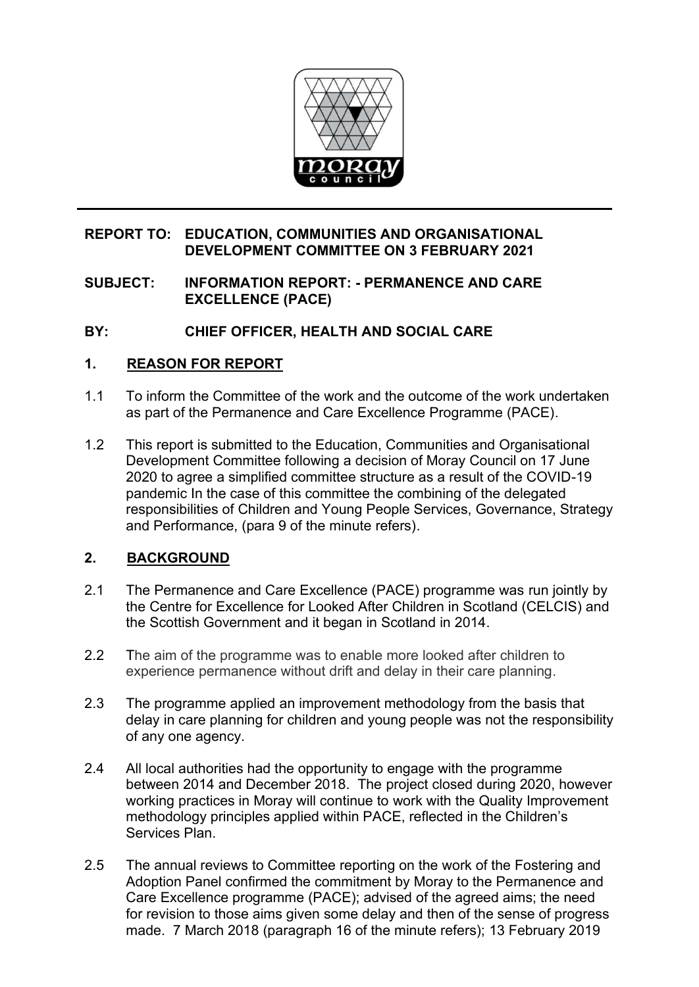

## **REPORT TO: EDUCATION, COMMUNITIES AND ORGANISATIONAL DEVELOPMENT COMMITTEE ON 3 FEBRUARY 2021**

## **SUBJECT: INFORMATION REPORT: - PERMANENCE AND CARE EXCELLENCE (PACE)**

# **BY: CHIEF OFFICER, HEALTH AND SOCIAL CARE**

### **1. REASON FOR REPORT**

- 1.1 To inform the Committee of the work and the outcome of the work undertaken as part of the Permanence and Care Excellence Programme (PACE).
- 1.2 This report is submitted to the Education, Communities and Organisational Development Committee following a decision of Moray Council on 17 June 2020 to agree a simplified committee structure as a result of the COVID-19 pandemic In the case of this committee the combining of the delegated responsibilities of Children and Young People Services, Governance, Strategy and Performance, (para 9 of the minute refers).

## **2. BACKGROUND**

- 2.1 The Permanence and Care Excellence (PACE) programme was run jointly by the Centre for Excellence for Looked After Children in Scotland (CELCIS) and the Scottish Government and it began in Scotland in 2014.
- 2.2 The aim of the programme was to enable more looked after children to experience permanence without drift and delay in their care planning.
- 2.3 The programme applied an improvement methodology from the basis that delay in care planning for children and young people was not the responsibility of any one agency.
- 2.4 All local authorities had the opportunity to engage with the programme between 2014 and December 2018. The project closed during 2020, however working practices in Moray will continue to work with the Quality Improvement methodology principles applied within PACE, reflected in the Children's Services Plan.
- 2.5 The annual reviews to Committee reporting on the work of the Fostering and Adoption Panel confirmed the commitment by Moray to the Permanence and Care Excellence programme (PACE); advised of the agreed aims; the need for revision to those aims given some delay and then of the sense of progress made. 7 March 2018 (paragraph 16 of the minute refers); 13 February 2019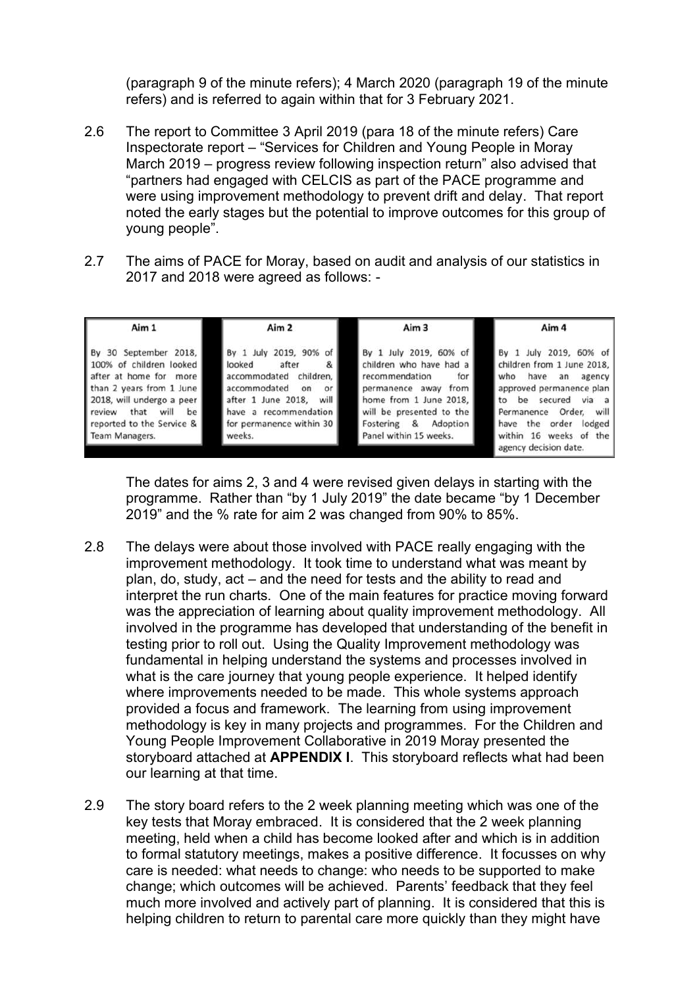(paragraph 9 of the minute refers); 4 March 2020 (paragraph 19 of the minute refers) and is referred to again within that for 3 February 2021.

- 2.6 The report to Committee 3 April 2019 (para 18 of the minute refers) Care Inspectorate report – "Services for Children and Young People in Moray March 2019 – progress review following inspection return" also advised that "partners had engaged with CELCIS as part of the PACE programme and were using improvement methodology to prevent drift and delay. That report noted the early stages but the potential to improve outcomes for this group of young people".
- 2.7 The aims of PACE for Moray, based on audit and analysis of our statistics in 2017 and 2018 were agreed as follows: -

| Aim 1                                                                                                                                                                                                             | Aim 2                                                                                                                                                                                                | Aim 3                                                                                                                                                                                                           | Aim 4                                                                                                                                                                                                                                           |
|-------------------------------------------------------------------------------------------------------------------------------------------------------------------------------------------------------------------|------------------------------------------------------------------------------------------------------------------------------------------------------------------------------------------------------|-----------------------------------------------------------------------------------------------------------------------------------------------------------------------------------------------------------------|-------------------------------------------------------------------------------------------------------------------------------------------------------------------------------------------------------------------------------------------------|
| By 30 September 2018,<br>100% of children looked<br>after at home for more<br>than 2 years from 1 June<br>2018, will undergo a peer<br>review that<br>will<br>be  <br>reported to the Service &<br>Team Managers. | By 1 July 2019, 90% of<br>looked<br>after<br>&<br>children,<br>accommodated<br>accommodated<br>on<br>or<br>after 1 June 2018,<br>will<br>have a recommendation<br>for permanence within 30<br>weeks. | By 1 July 2019, 60% of<br>children who have had a<br>for I<br>recommendation<br>permanence away from<br>home from 1 June 2018,<br>will be presented to the<br>Adoption<br>Fostering &<br>Panel within 15 weeks. | By 1 July 2019, 60% of<br>children from 1 June 2018,<br>who<br>have an<br>agency<br>approved permanence plan<br>to be secured via a<br>Order, will<br>Permanence<br>have the order<br>lodged<br>within 16 weeks of the<br>agency decision date. |

The dates for aims 2, 3 and 4 were revised given delays in starting with the programme. Rather than "by 1 July 2019" the date became "by 1 December 2019" and the % rate for aim 2 was changed from 90% to 85%.

- 2.8 The delays were about those involved with PACE really engaging with the improvement methodology. It took time to understand what was meant by plan, do, study, act – and the need for tests and the ability to read and interpret the run charts. One of the main features for practice moving forward was the appreciation of learning about quality improvement methodology. All involved in the programme has developed that understanding of the benefit in testing prior to roll out. Using the Quality Improvement methodology was fundamental in helping understand the systems and processes involved in what is the care journey that young people experience. It helped identify where improvements needed to be made. This whole systems approach provided a focus and framework. The learning from using improvement methodology is key in many projects and programmes. For the Children and Young People Improvement Collaborative in 2019 Moray presented the storyboard attached at **APPENDIX I**. This storyboard reflects what had been our learning at that time.
- 2.9 The story board refers to the 2 week planning meeting which was one of the key tests that Moray embraced. It is considered that the 2 week planning meeting, held when a child has become looked after and which is in addition to formal statutory meetings, makes a positive difference. It focusses on why care is needed: what needs to change: who needs to be supported to make change; which outcomes will be achieved. Parents' feedback that they feel much more involved and actively part of planning. It is considered that this is helping children to return to parental care more quickly than they might have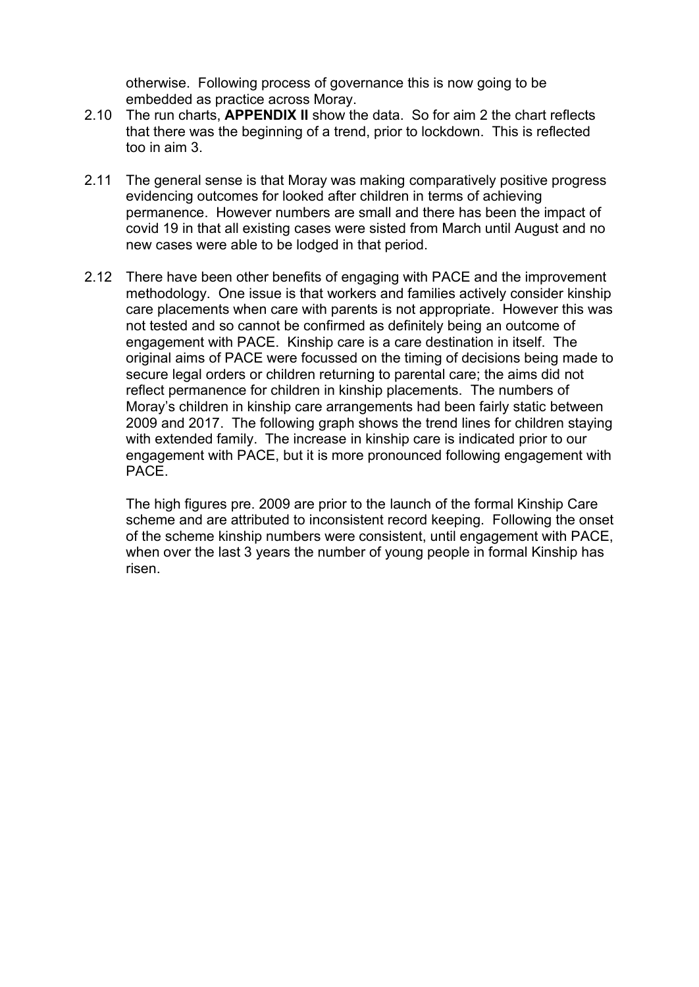otherwise. Following process of governance this is now going to be embedded as practice across Moray.

- 2.10 The run charts, **APPENDIX II** show the data. So for aim 2 the chart reflects that there was the beginning of a trend, prior to lockdown. This is reflected too in aim 3.
- 2.11 The general sense is that Moray was making comparatively positive progress evidencing outcomes for looked after children in terms of achieving permanence. However numbers are small and there has been the impact of covid 19 in that all existing cases were sisted from March until August and no new cases were able to be lodged in that period.
- 2.12 There have been other benefits of engaging with PACE and the improvement methodology. One issue is that workers and families actively consider kinship care placements when care with parents is not appropriate. However this was not tested and so cannot be confirmed as definitely being an outcome of engagement with PACE. Kinship care is a care destination in itself. The original aims of PACE were focussed on the timing of decisions being made to secure legal orders or children returning to parental care; the aims did not reflect permanence for children in kinship placements. The numbers of Moray's children in kinship care arrangements had been fairly static between 2009 and 2017. The following graph shows the trend lines for children staying with extended family. The increase in kinship care is indicated prior to our engagement with PACE, but it is more pronounced following engagement with PACE.

 The high figures pre. 2009 are prior to the launch of the formal Kinship Care scheme and are attributed to inconsistent record keeping. Following the onset of the scheme kinship numbers were consistent, until engagement with PACE, when over the last 3 years the number of young people in formal Kinship has risen.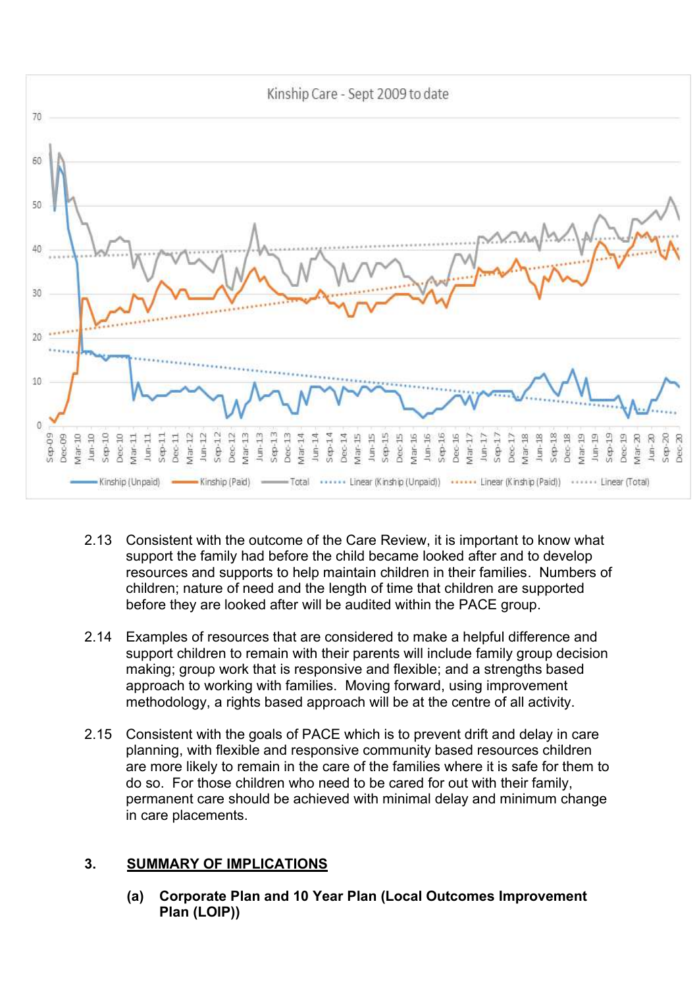

- 2.13 Consistent with the outcome of the Care Review, it is important to know what support the family had before the child became looked after and to develop resources and supports to help maintain children in their families. Numbers of children; nature of need and the length of time that children are supported before they are looked after will be audited within the PACE group.
- 2.14 Examples of resources that are considered to make a helpful difference and support children to remain with their parents will include family group decision making; group work that is responsive and flexible; and a strengths based approach to working with families. Moving forward, using improvement methodology, a rights based approach will be at the centre of all activity.
- 2.15 Consistent with the goals of PACE which is to prevent drift and delay in care planning, with flexible and responsive community based resources children are more likely to remain in the care of the families where it is safe for them to do so. For those children who need to be cared for out with their family, permanent care should be achieved with minimal delay and minimum change in care placements.

# **3. SUMMARY OF IMPLICATIONS**

**(a) Corporate Plan and 10 Year Plan (Local Outcomes Improvement Plan (LOIP))**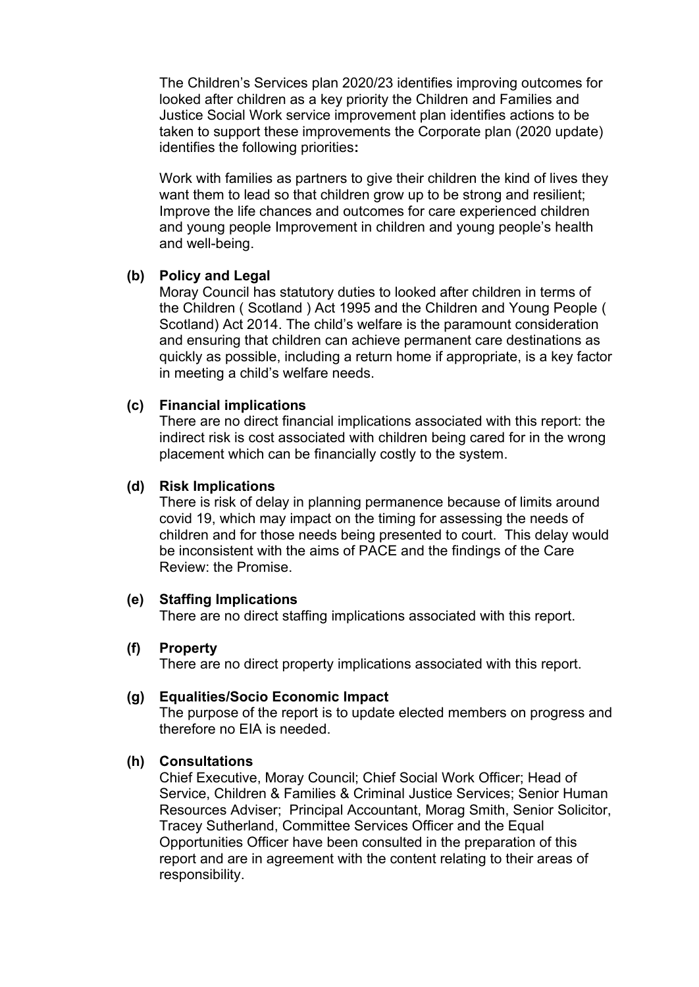The Children's Services plan 2020/23 identifies improving outcomes for looked after children as a key priority the Children and Families and Justice Social Work service improvement plan identifies actions to be taken to support these improvements the Corporate plan (2020 update) identifies the following priorities**:** 

Work with families as partners to give their children the kind of lives they want them to lead so that children grow up to be strong and resilient; Improve the life chances and outcomes for care experienced children and young people Improvement in children and young people's health and well-being.

### **(b) Policy and Legal**

Moray Council has statutory duties to looked after children in terms of the Children ( Scotland ) Act 1995 and the Children and Young People ( Scotland) Act 2014. The child's welfare is the paramount consideration and ensuring that children can achieve permanent care destinations as quickly as possible, including a return home if appropriate, is a key factor in meeting a child's welfare needs.

### **(c) Financial implications**

There are no direct financial implications associated with this report: the indirect risk is cost associated with children being cared for in the wrong placement which can be financially costly to the system.

### **(d) Risk Implications**

There is risk of delay in planning permanence because of limits around covid 19, which may impact on the timing for assessing the needs of children and for those needs being presented to court. This delay would be inconsistent with the aims of PACE and the findings of the Care Review: the Promise.

#### **(e) Staffing Implications**

There are no direct staffing implications associated with this report.

#### **(f) Property**

There are no direct property implications associated with this report.

### **(g) Equalities/Socio Economic Impact**

The purpose of the report is to update elected members on progress and therefore no EIA is needed.

## **(h) Consultations**

Chief Executive, Moray Council; Chief Social Work Officer; Head of Service, Children & Families & Criminal Justice Services; Senior Human Resources Adviser; Principal Accountant, Morag Smith, Senior Solicitor, Tracey Sutherland, Committee Services Officer and the Equal Opportunities Officer have been consulted in the preparation of this report and are in agreement with the content relating to their areas of responsibility.